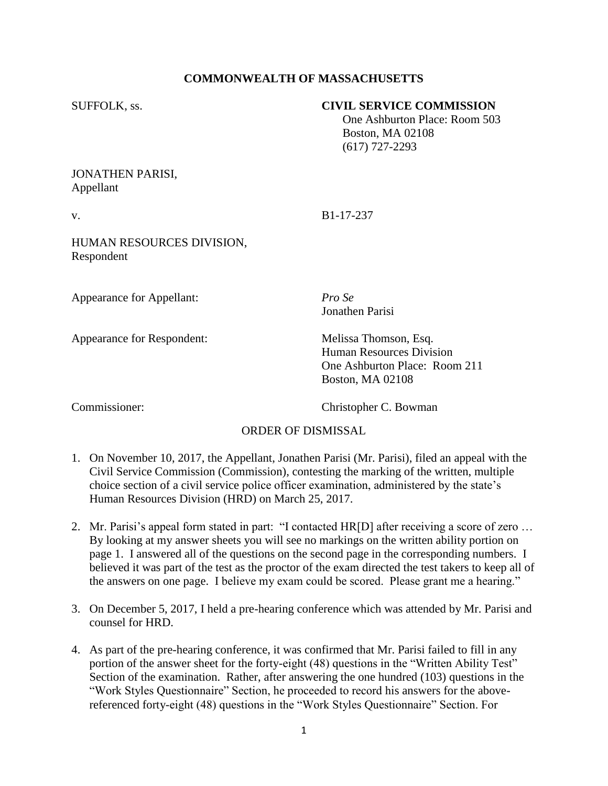# **COMMONWEALTH OF MASSACHUSETTS**

#### SUFFOLK, ss. **CIVIL SERVICE COMMISSION**

 One Ashburton Place: Room 503 Boston, MA 02108 (617) 727-2293

## JONATHEN PARISI, Appellant

v. B1-17-237

# HUMAN RESOURCES DIVISION, Respondent

Appearance for Appellant: *Pro Se*

Appearance for Respondent: Melissa Thomson, Esq.

Jonathen Parisi

Human Resources Division One Ashburton Place: Room 211 Boston, MA 02108

Commissioner: Christopher C. Bowman

#### ORDER OF DISMISSAL

- 1. On November 10, 2017, the Appellant, Jonathen Parisi (Mr. Parisi), filed an appeal with the Civil Service Commission (Commission), contesting the marking of the written, multiple choice section of a civil service police officer examination, administered by the state's Human Resources Division (HRD) on March 25, 2017.
- 2. Mr. Parisi's appeal form stated in part: "I contacted HR[D] after receiving a score of zero … By looking at my answer sheets you will see no markings on the written ability portion on page 1. I answered all of the questions on the second page in the corresponding numbers. I believed it was part of the test as the proctor of the exam directed the test takers to keep all of the answers on one page. I believe my exam could be scored. Please grant me a hearing."
- 3. On December 5, 2017, I held a pre-hearing conference which was attended by Mr. Parisi and counsel for HRD.
- 4. As part of the pre-hearing conference, it was confirmed that Mr. Parisi failed to fill in any portion of the answer sheet for the forty-eight (48) questions in the "Written Ability Test" Section of the examination. Rather, after answering the one hundred (103) questions in the "Work Styles Questionnaire" Section, he proceeded to record his answers for the abovereferenced forty-eight (48) questions in the "Work Styles Questionnaire" Section. For